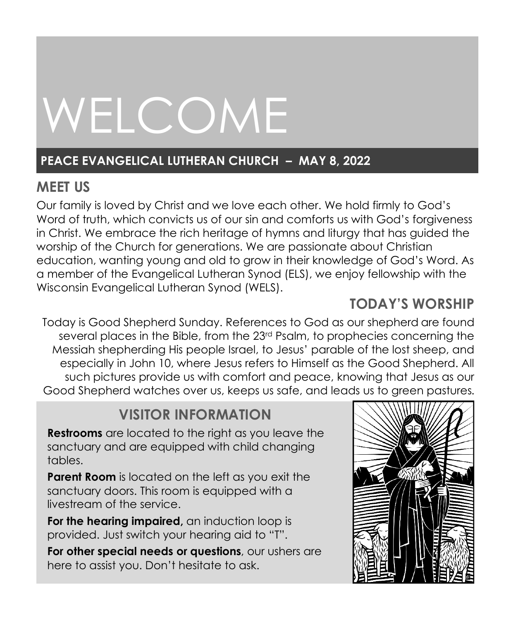# WELCOME

# **PEACE EVANGELICAL LUTHERAN CHURCH – MAY 8, 2022**

# **MEET US**

Our family is loved by Christ and we love each other. We hold firmly to God's Word of truth, which convicts us of our sin and comforts us with God's forgiveness in Christ. We embrace the rich heritage of hymns and liturgy that has guided the worship of the Church for generations. We are passionate about Christian education, wanting young and old to grow in their knowledge of God's Word. As a member of the Evangelical Lutheran Synod (ELS), we enjoy fellowship with the Wisconsin Evangelical Lutheran Synod (WELS).

# **TODAY'S WORSHIP**

Today is Good Shepherd Sunday. References to God as our shepherd are found several places in the Bible, from the 23rd Psalm, to prophecies concerning the Messiah shepherding His people Israel, to Jesus' parable of the lost sheep, and especially in John 10, where Jesus refers to Himself as the Good Shepherd. All such pictures provide us with comfort and peace, knowing that Jesus as our Good Shepherd watches over us, keeps us safe, and leads us to green pastures.

# **VISITOR INFORMATION**

**Restrooms** are located to the right as you leave the sanctuary and are equipped with child changing tables.

**Parent Room** is located on the left as you exit the sanctuary doors. This room is equipped with a livestream of the service.

**For the hearing impaired,** an induction loop is provided. Just switch your hearing aid to "T".

**For other special needs or questions**, our ushers are here to assist you. Don't hesitate to ask.

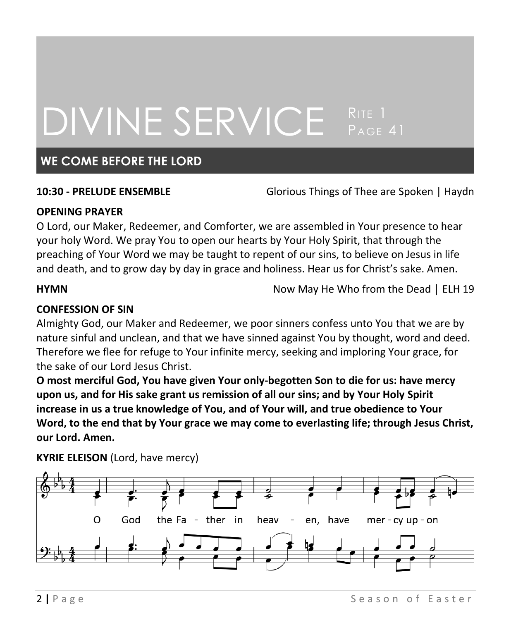# DIVINE SERVICE RITE 1 PAGE 41

### **WE COME BEFORE THE LORD**

**10:30 - PRELUDE ENSEMBLE** Glorious Things of Thee are Spoken | Haydn

#### **OPENING PRAYER**

O Lord, our Maker, Redeemer, and Comforter, we are assembled in Your presence to hear your holy Word. We pray You to open our hearts by Your Holy Spirit, that through the preaching of Your Word we may be taught to repent of our sins, to believe on Jesus in life and death, and to grow day by day in grace and holiness. Hear us for Christ's sake. Amen.

**HYMN HYMN** Now May He Who from the Dead │ ELH 19

### **CONFESSION OF SIN**

Almighty God, our Maker and Redeemer, we poor sinners confess unto You that we are by nature sinful and unclean, and that we have sinned against You by thought, word and deed. Therefore we flee for refuge to Your infinite mercy, seeking and imploring Your grace, for the sake of our Lord Jesus Christ.

**O most merciful God, You have given Your only-begotten Son to die for us: have mercy upon us, and for His sake grant us remission of all our sins; and by Your Holy Spirit increase in us a true knowledge of You, and of Your will, and true obedience to Your Word, to the end that by Your grace we may come to everlasting life; through Jesus Christ, our Lord. Amen.**



**KYRIE ELEISON** (Lord, have mercy)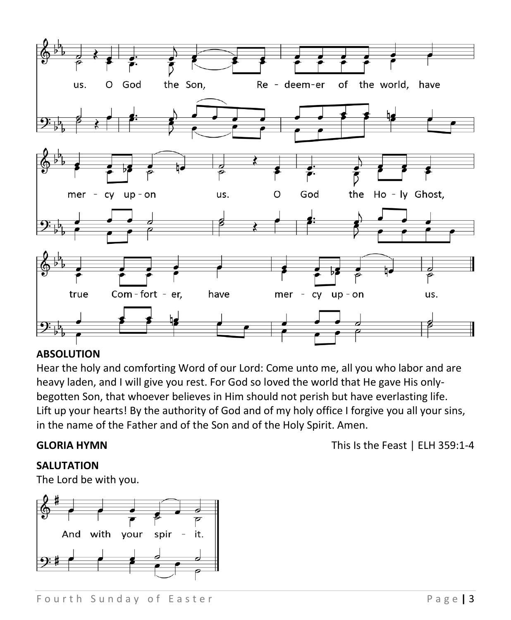

#### **ABSOLUTION**

Hear the holy and comforting Word of our Lord: Come unto me, all you who labor and are heavy laden, and I will give you rest. For God so loved the world that He gave His onlybegotten Son, that whoever believes in Him should not perish but have everlasting life. Lift up your hearts! By the authority of God and of my holy office I forgive you all your sins, in the name of the Father and of the Son and of the Holy Spirit. Amen.

**SALUTATION**

The Lord be with you.



**GLORIA HYMN** This Is the Feast | ELH 359:1-4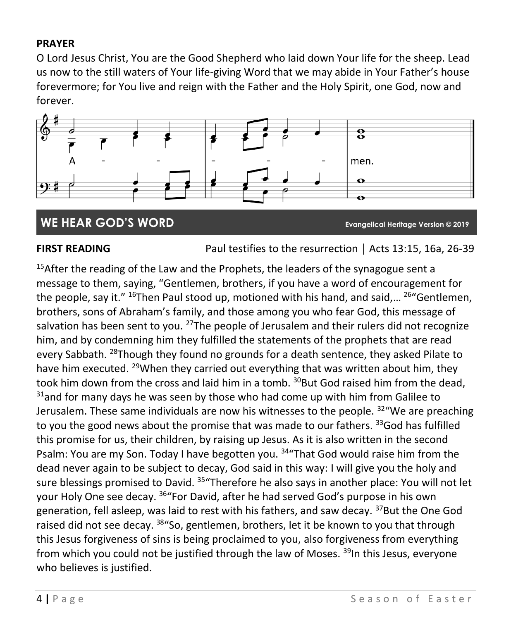### **PRAYER**

O Lord Jesus Christ, You are the Good Shepherd who laid down Your life for the sheep. Lead us now to the still waters of Your life-giving Word that we may abide in Your Father's house forevermore; for You live and reign with the Father and the Holy Spirit, one God, now and forever.



### **WE HEAR GOD'S WORD Evangelical Heritage Version © 2019**

**FIRST READING** Paul testifies to the resurrection | Acts 13:15, 16a, 26-39

<sup>15</sup>After the reading of the Law and the Prophets, the leaders of the synagogue sent a message to them, saying, "Gentlemen, brothers, if you have a word of encouragement for the people, say it." <sup>16</sup>Then Paul stood up, motioned with his hand, and said,... <sup>26</sup> "Gentlemen, brothers, sons of Abraham's family, and those among you who fear God, this message of salvation has been sent to you. <sup>27</sup>The people of Jerusalem and their rulers did not recognize him, and by condemning him they fulfilled the statements of the prophets that are read every Sabbath. <sup>28</sup>Though they found no grounds for a death sentence, they asked Pilate to have him executed. <sup>29</sup>When they carried out everything that was written about him, they took him down from the cross and laid him in a tomb. <sup>30</sup>But God raised him from the dead,  $31$ and for many days he was seen by those who had come up with him from Galilee to Jerusalem. These same individuals are now his witnesses to the people.  $32^{\circ}$  We are preaching to you the good news about the promise that was made to our fathers. <sup>33</sup>God has fulfilled this promise for us, their children, by raising up Jesus. As it is also written in the second Psalm: You are my Son. Today I have begotten you. <sup>34</sup> That God would raise him from the dead never again to be subject to decay, God said in this way: I will give you the holy and sure blessings promised to David. <sup>35</sup> Therefore he also says in another place: You will not let your Holy One see decay. <sup>36</sup>"For David, after he had served God's purpose in his own generation, fell asleep, was laid to rest with his fathers, and saw decay.  $37$ But the One God raised did not see decay. <sup>38</sup> "So, gentlemen, brothers, let it be known to you that through this Jesus forgiveness of sins is being proclaimed to you, also forgiveness from everything from which you could not be justified through the law of Moses.  $39$ In this Jesus, everyone who believes is justified.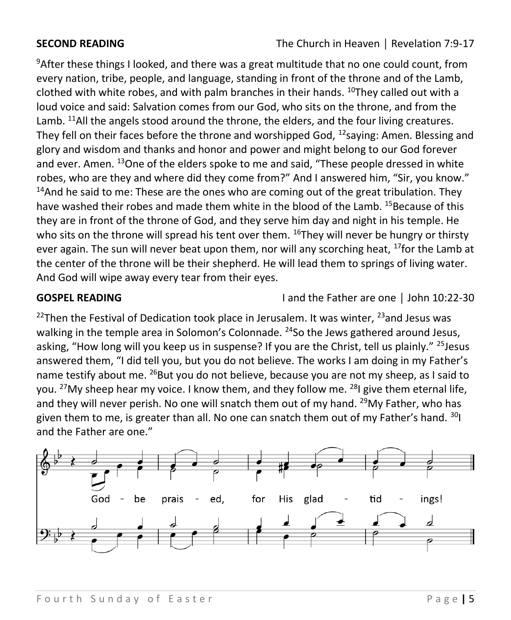$9$ After these things I looked, and there was a great multitude that no one could count, from every nation, tribe, people, and language, standing in front of the throne and of the Lamb, clothed with white robes, and with palm branches in their hands.  $10$ They called out with a loud voice and said: Salvation comes from our God, who sits on the throne, and from the Lamb.  $11$ All the angels stood around the throne, the elders, and the four living creatures. They fell on their faces before the throne and worshipped God,  $^{12}$ saying: Amen. Blessing and glory and wisdom and thanks and honor and power and might belong to our God forever and ever. Amen. <sup>13</sup>One of the elders spoke to me and said, "These people dressed in white robes, who are they and where did they come from?" And I answered him, "Sir, you know."  $14$ And he said to me: These are the ones who are coming out of the great tribulation. They have washed their robes and made them white in the blood of the Lamb. <sup>15</sup>Because of this they are in front of the throne of God, and they serve him day and night in his temple. He who sits on the throne will spread his tent over them. <sup>16</sup>They will never be hungry or thirsty ever again. The sun will never beat upon them, nor will any scorching heat,  $^{17}$  for the Lamb at the center of the throne will be their shepherd. He will lead them to springs of living water. And God will wipe away every tear from their eyes.

**GOSPEL READING** I and the Father are one │ John 10:22-30

<sup>22</sup>Then the Festival of Dedication took place in Jerusalem. It was winter,  $23$  and Jesus was walking in the temple area in Solomon's Colonnade. <sup>24</sup>So the Jews gathered around Jesus, asking, "How long will you keep us in suspense? If you are the Christ, tell us plainly." <sup>25</sup> Jesus answered them, "I did tell you, but you do not believe. The works I am doing in my Father's name testify about me. <sup>26</sup>But you do not believe, because you are not my sheep, as I said to you. <sup>27</sup>My sheep hear my voice. I know them, and they follow me. <sup>28</sup>I give them eternal life, and they will never perish. No one will snatch them out of my hand. <sup>29</sup>My Father, who has given them to me, is greater than all. No one can snatch them out of my Father's hand. <sup>30</sup>I and the Father are one."

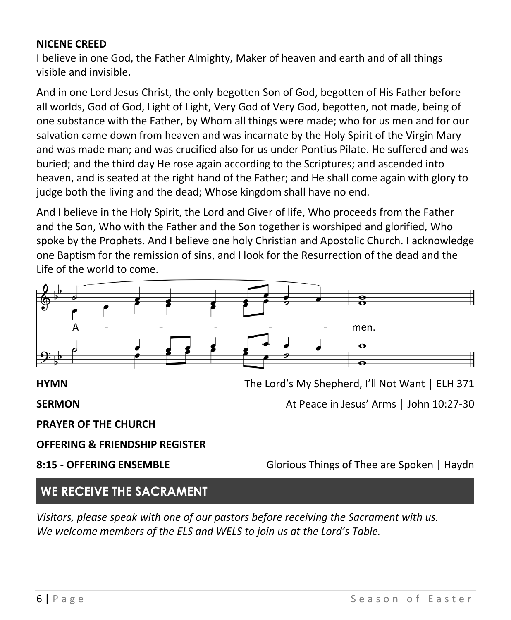#### **NICENE CREED**

I believe in one God, the Father Almighty, Maker of heaven and earth and of all things visible and invisible.

And in one Lord Jesus Christ, the only-begotten Son of God, begotten of His Father before all worlds, God of God, Light of Light, Very God of Very God, begotten, not made, being of one substance with the Father, by Whom all things were made; who for us men and for our salvation came down from heaven and was incarnate by the Holy Spirit of the Virgin Mary and was made man; and was crucified also for us under Pontius Pilate. He suffered and was buried; and the third day He rose again according to the Scriptures; and ascended into heaven, and is seated at the right hand of the Father; and He shall come again with glory to judge both the living and the dead; Whose kingdom shall have no end.

And I believe in the Holy Spirit, the Lord and Giver of life, Who proceeds from the Father and the Son, Who with the Father and the Son together is worshiped and glorified, Who spoke by the Prophets. And I believe one holy Christian and Apostolic Church. I acknowledge one Baptism for the remission of sins, and I look for the Resurrection of the dead and the Life of the world to come.



**SERMON** At Peace in Jesus' Arms │ John 10:27-30

**PRAYER OF THE CHURCH**

**OFFERING & FRIENDSHIP REGISTER**

**8:15 - OFFERING ENSEMBLE** Glorious Things of Thee are Spoken | Haydn

### **WE RECEIVE THE SACRAMENT**

*Visitors, please speak with one of our pastors before receiving the Sacrament with us. We welcome members of the ELS and WELS to join us at the Lord's Table.*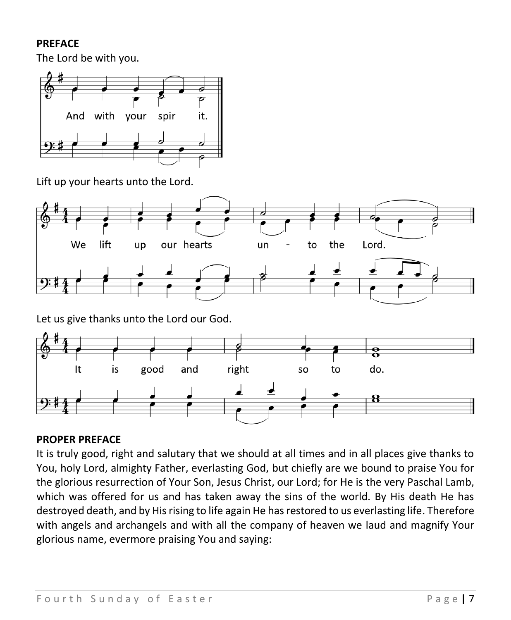#### **PREFACE**

The Lord be with you.



Lift up your hearts unto the Lord.





### **PROPER PREFACE**

It is truly good, right and salutary that we should at all times and in all places give thanks to You, holy Lord, almighty Father, everlasting God, but chiefly are we bound to praise You for the glorious resurrection of Your Son, Jesus Christ, our Lord; for He is the very Paschal Lamb, which was offered for us and has taken away the sins of the world. By His death He has destroyed death, and by His rising to life again He has restored to us everlasting life. Therefore with angels and archangels and with all the company of heaven we laud and magnify Your glorious name, evermore praising You and saying: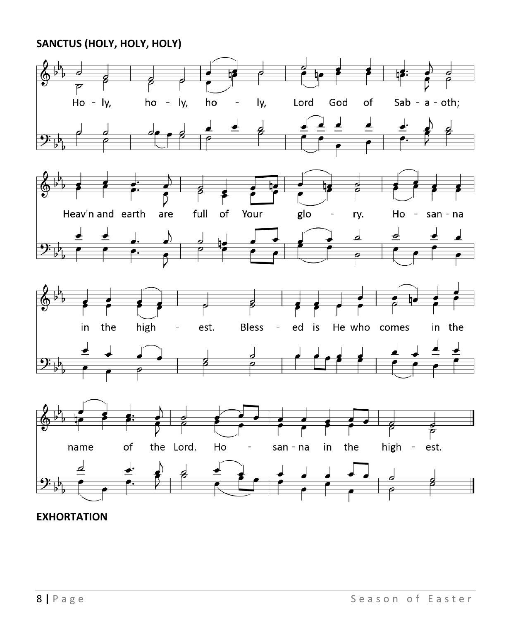**SANCTUS (HOLY, HOLY, HOLY)**



### **EXHORTATION**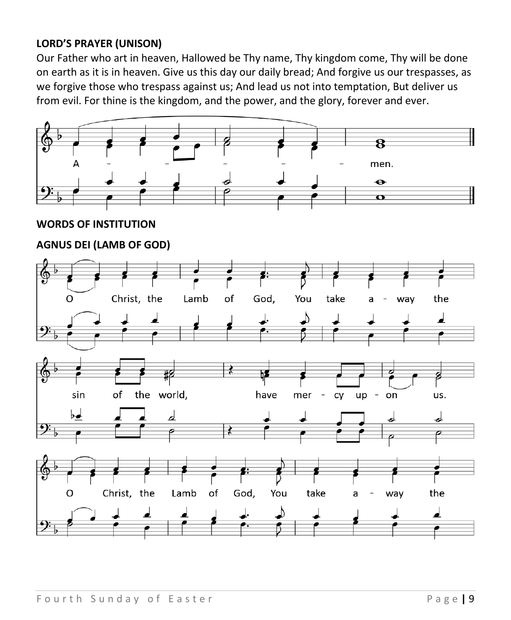### **LORD'S PRAYER (UNISON)**

Our Father who art in heaven, Hallowed be Thy name, Thy kingdom come, Thy will be done on earth as it is in heaven. Give us this day our daily bread; And forgive us our trespasses, as we forgive those who trespass against us; And lead us not into temptation, But deliver us from evil. For thine is the kingdom, and the power, and the glory, forever and ever.

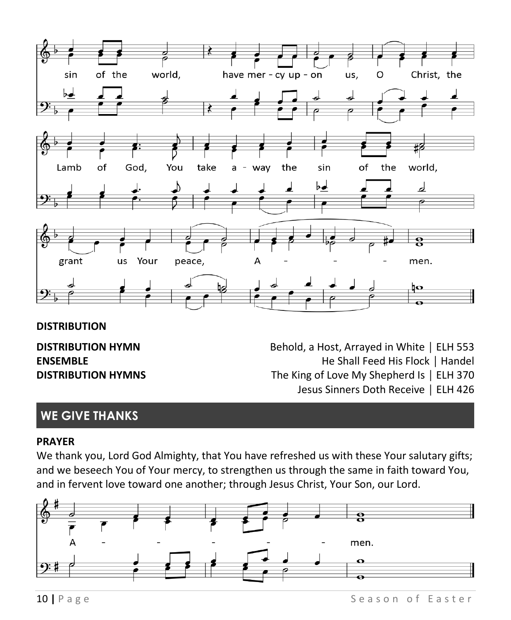

#### **DISTRIBUTION**

**DISTRIBUTION HYMN** Behold, a Host, Arrayed in White │ ELH 553 **ENSEMBLE ENSEMBLE ENSEMBLE ENSEMBLE ENSEMBLE ENSEMBLE ENSEMBLE ENSEMBLE ENSEMBLE DISTRIBUTION HYMNS** The King of Love My Shepherd Is | ELH 370 Jesus Sinners Doth Receive │ ELH 426

# **WE GIVE THANKS**

#### **PRAYER**

We thank you, Lord God Almighty, that You have refreshed us with these Your salutary gifts; and we beseech You of Your mercy, to strengthen us through the same in faith toward You, and in fervent love toward one another; through Jesus Christ, Your Son, our Lord.

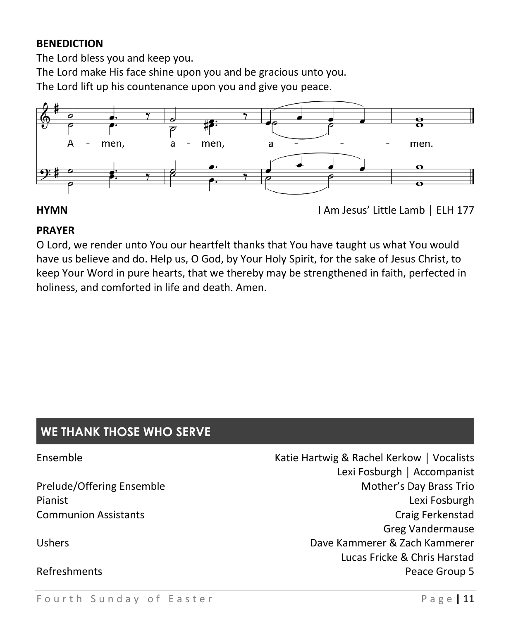#### **BENEDICTION**

The Lord bless you and keep you.

The Lord make His face shine upon you and be gracious unto you.

The Lord lift up his countenance upon you and give you peace.



#### **PRAYER**

O Lord, we render unto You our heartfelt thanks that You have taught us what You would have us believe and do. Help us, O God, by Your Holy Spirit, for the sake of Jesus Christ, to keep Your Word in pure hearts, that we thereby may be strengthened in faith, perfected in holiness, and comforted in life and death. Amen.

# **WE THANK THOSE WHO SERVE**

| Ensemble                    | Katie Hartwig & Rachel Kerkow   Vocalists |
|-----------------------------|-------------------------------------------|
|                             | Lexi Fosburgh   Accompanist               |
| Prelude/Offering Ensemble   | Mother's Day Brass Trio                   |
| Pianist                     | Lexi Fosburgh                             |
| <b>Communion Assistants</b> | Craig Ferkenstad                          |
|                             | <b>Greg Vandermause</b>                   |
| <b>Ushers</b>               | Dave Kammerer & Zach Kammerer             |
|                             | Lucas Fricke & Chris Harstad              |
| Refreshments                | Peace Group 5                             |
|                             |                                           |

**HYMN** I Am Jesus' Little Lamb | ELH 177